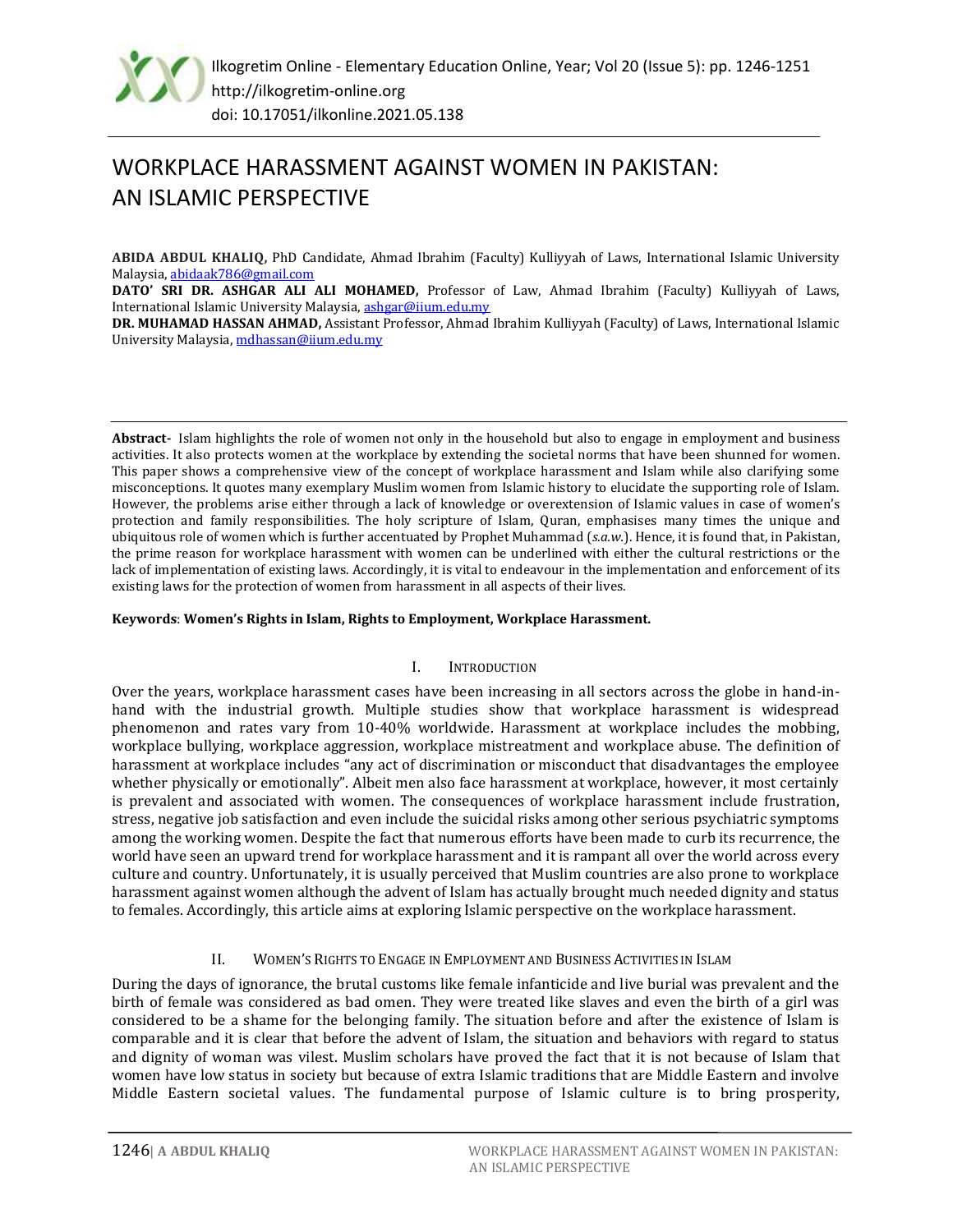

# WORKPLACE HARASSMENT AGAINST WOMEN IN PAKISTAN: AN ISLAMIC PERSPECTIVE

**ABIDA ABDUL KHALIQ,** PhD Candidate, Ahmad Ibrahim (Faculty) Kulliyyah of Laws, International Islamic University Malaysia[, abidaak786@gmail.com](mailto:abidaak786@gmail.com)

**DATO' SRI DR. ASHGAR ALI ALI MOHAMED,** Professor of Law, Ahmad Ibrahim (Faculty) Kulliyyah of Laws, International Islamic University Malaysia, [ashgar@iium.edu.my](mailto:ashgar@iium.edu.my)

**DR. MUHAMAD HASSAN AHMAD,** Assistant Professor, Ahmad Ibrahim Kulliyyah (Faculty) of Laws, International Islamic University Malaysia[, mdhassan@iium.edu.my](mailto:mdhassan@iium.edu.my)

**Abstract-** Islam highlights the role of women not only in the household but also to engage in employment and business activities. It also protects women at the workplace by extending the societal norms that have been shunned for women. This paper shows a comprehensive view of the concept of workplace harassment and Islam while also clarifying some misconceptions. It quotes many exemplary Muslim women from Islamic history to elucidate the supporting role of Islam. However, the problems arise either through a lack of knowledge or overextension of Islamic values in case of women's protection and family responsibilities. The holy scripture of Islam, Quran, emphasises many times the unique and ubiquitous role of women which is further accentuated by Prophet Muhammad (*s.a.w.*). Hence, it is found that, in Pakistan, the prime reason for workplace harassment with women can be underlined with either the cultural restrictions or the lack of implementation of existing laws. Accordingly, it is vital to endeavour in the implementation and enforcement of its existing laws for the protection of women from harassment in all aspects of their lives.

## **Keywords**: **Women's Rights in Islam, Rights to Employment, Workplace Harassment.**

#### I. INTRODUCTION

Over the years, workplace harassment cases have been increasing in all sectors across the globe in hand-inhand with the industrial growth. Multiple studies show that workplace harassment is widespread phenomenon and rates vary from 10-40% worldwide. Harassment at workplace includes the mobbing, workplace bullying, workplace aggression, workplace mistreatment and workplace abuse. The definition of harassment at workplace includes "any act of discrimination or misconduct that disadvantages the employee whether physically or emotionally". Albeit men also face harassment at workplace, however, it most certainly is prevalent and associated with women. The consequences of workplace harassment include frustration, stress, negative job satisfaction and even include the suicidal risks among other serious psychiatric symptoms among the working women. Despite the fact that numerous efforts have been made to curb its recurrence, the world have seen an upward trend for workplace harassment and it is rampant all over the world across every culture and country. Unfortunately, it is usually perceived that Muslim countries are also prone to workplace harassment against women although the advent of Islam has actually brought much needed dignity and status to females. Accordingly, this article aims at exploring Islamic perspective on the workplace harassment.

## II. WOMEN'S RIGHTS TO ENGAGE IN EMPLOYMENT AND BUSINESS ACTIVITIES IN ISLAM

During the days of ignorance, the brutal customs like female infanticide and live burial was prevalent and the birth of female was considered as bad omen. They were treated like slaves and even the birth of a girl was considered to be a shame for the belonging family. The situation before and after the existence of Islam is comparable and it is clear that before the advent of Islam, the situation and behaviors with regard to status and dignity of woman was vilest. Muslim scholars have proved the fact that it is not because of Islam that women have low status in society but because of extra Islamic traditions that are Middle Eastern and involve Middle Eastern societal values. The fundamental purpose of Islamic culture is to bring prosperity,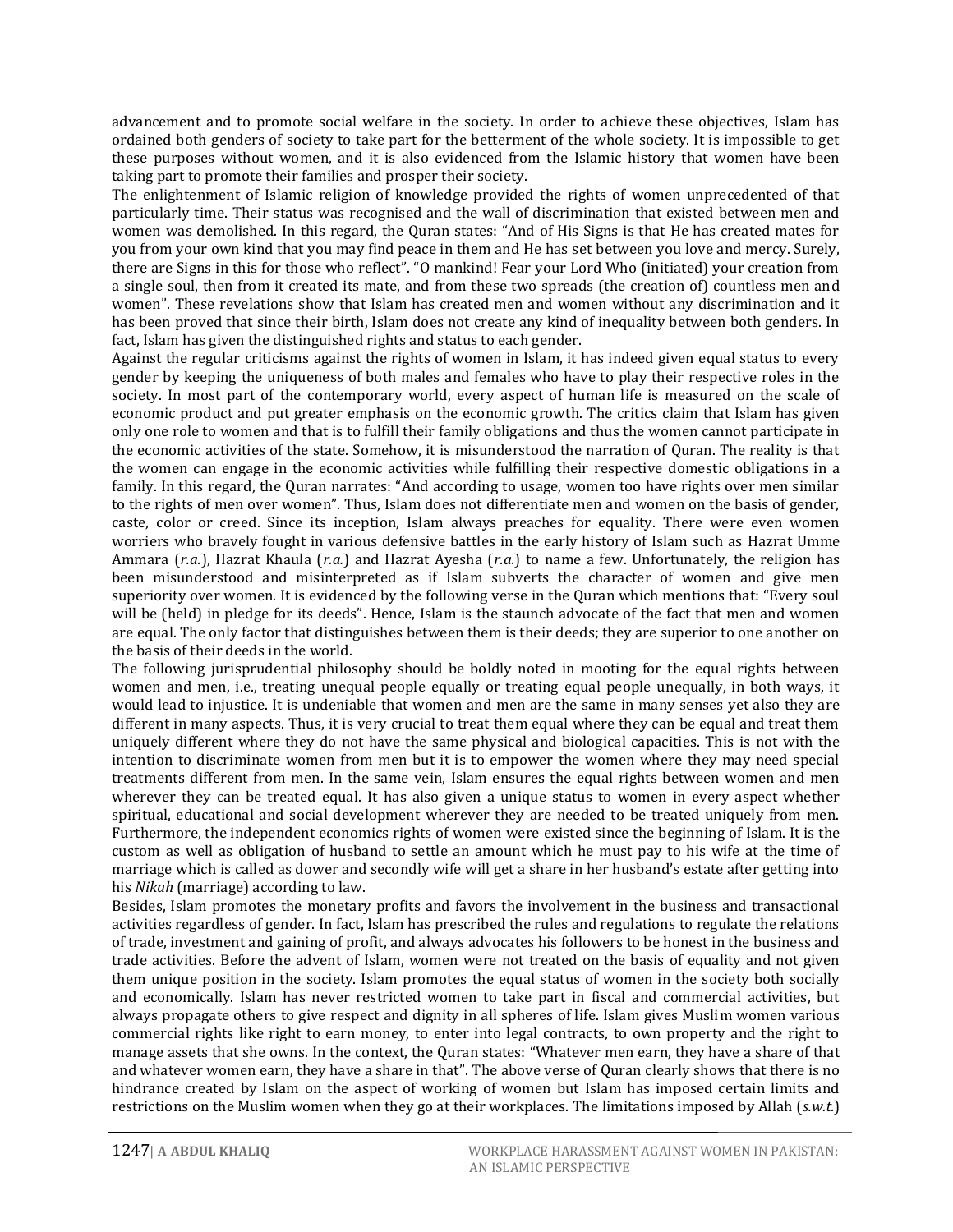advancement and to promote social welfare in the society. In order to achieve these objectives, Islam has ordained both genders of society to take part for the betterment of the whole society. It is impossible to get these purposes without women, and it is also evidenced from the Islamic history that women have been taking part to promote their families and prosper their society.

The enlightenment of Islamic religion of knowledge provided the rights of women unprecedented of that particularly time. Their status was recognised and the wall of discrimination that existed between men and women was demolished. In this regard, the Quran states: "And of His Signs is that He has created mates for you from your own kind that you may find peace in them and He has set between you love and mercy. Surely, there are Signs in this for those who reflect". "O mankind! Fear your Lord Who (initiated) your creation from a single soul, then from it created its mate, and from these two spreads (the creation of) countless men and women". These revelations show that Islam has created men and women without any discrimination and it has been proved that since their birth, Islam does not create any kind of inequality between both genders. In fact, Islam has given the distinguished rights and status to each gender.

Against the regular criticisms against the rights of women in Islam, it has indeed given equal status to every gender by keeping the uniqueness of both males and females who have to play their respective roles in the society. In most part of the contemporary world, every aspect of human life is measured on the scale of economic product and put greater emphasis on the economic growth. The critics claim that Islam has given only one role to women and that is to fulfill their family obligations and thus the women cannot participate in the economic activities of the state. Somehow, it is misunderstood the narration of Quran. The reality is that the women can engage in the economic activities while fulfilling their respective domestic obligations in a family. In this regard, the Quran narrates: "And according to usage, women too have rights over men similar to the rights of men over women". Thus, Islam does not differentiate men and women on the basis of gender, caste, color or creed. Since its inception, Islam always preaches for equality. There were even women worriers who bravely fought in various defensive battles in the early history of Islam such as Hazrat Umme Ammara (*r.a.*), Hazrat Khaula (*r.a.*) and Hazrat Ayesha (*r.a.*) to name a few. Unfortunately, the religion has been misunderstood and misinterpreted as if Islam subverts the character of women and give men superiority over women. It is evidenced by the following verse in the Quran which mentions that: "Every soul will be (held) in pledge for its deeds". Hence, Islam is the staunch advocate of the fact that men and women are equal. The only factor that distinguishes between them is their deeds; they are superior to one another on the basis of their deeds in the world.

The following jurisprudential philosophy should be boldly noted in mooting for the equal rights between women and men, i.e., treating unequal people equally or treating equal people unequally, in both ways, it would lead to injustice. It is undeniable that women and men are the same in many senses yet also they are different in many aspects. Thus, it is very crucial to treat them equal where they can be equal and treat them uniquely different where they do not have the same physical and biological capacities. This is not with the intention to discriminate women from men but it is to empower the women where they may need special treatments different from men. In the same vein, Islam ensures the equal rights between women and men wherever they can be treated equal. It has also given a unique status to women in every aspect whether spiritual, educational and social development wherever they are needed to be treated uniquely from men. Furthermore, the independent economics rights of women were existed since the beginning of Islam. It is the custom as well as obligation of husband to settle an amount which he must pay to his wife at the time of marriage which is called as dower and secondly wife will get a share in her husband's estate after getting into his *Nikah* (marriage) according to law.

Besides, Islam promotes the monetary profits and favors the involvement in the business and transactional activities regardless of gender. In fact, Islam has prescribed the rules and regulations to regulate the relations of trade, investment and gaining of profit, and always advocates his followers to be honest in the business and trade activities. Before the advent of Islam, women were not treated on the basis of equality and not given them unique position in the society. Islam promotes the equal status of women in the society both socially and economically. Islam has never restricted women to take part in fiscal and commercial activities, but always propagate others to give respect and dignity in all spheres of life. Islam gives Muslim women various commercial rights like right to earn money, to enter into legal contracts, to own property and the right to manage assets that she owns. In the context, the Quran states: "Whatever men earn, they have a share of that and whatever women earn, they have a share in that". The above verse of Quran clearly shows that there is no hindrance created by Islam on the aspect of working of women but Islam has imposed certain limits and restrictions on the Muslim women when they go at their workplaces. The limitations imposed by Allah (*s.w.t.*)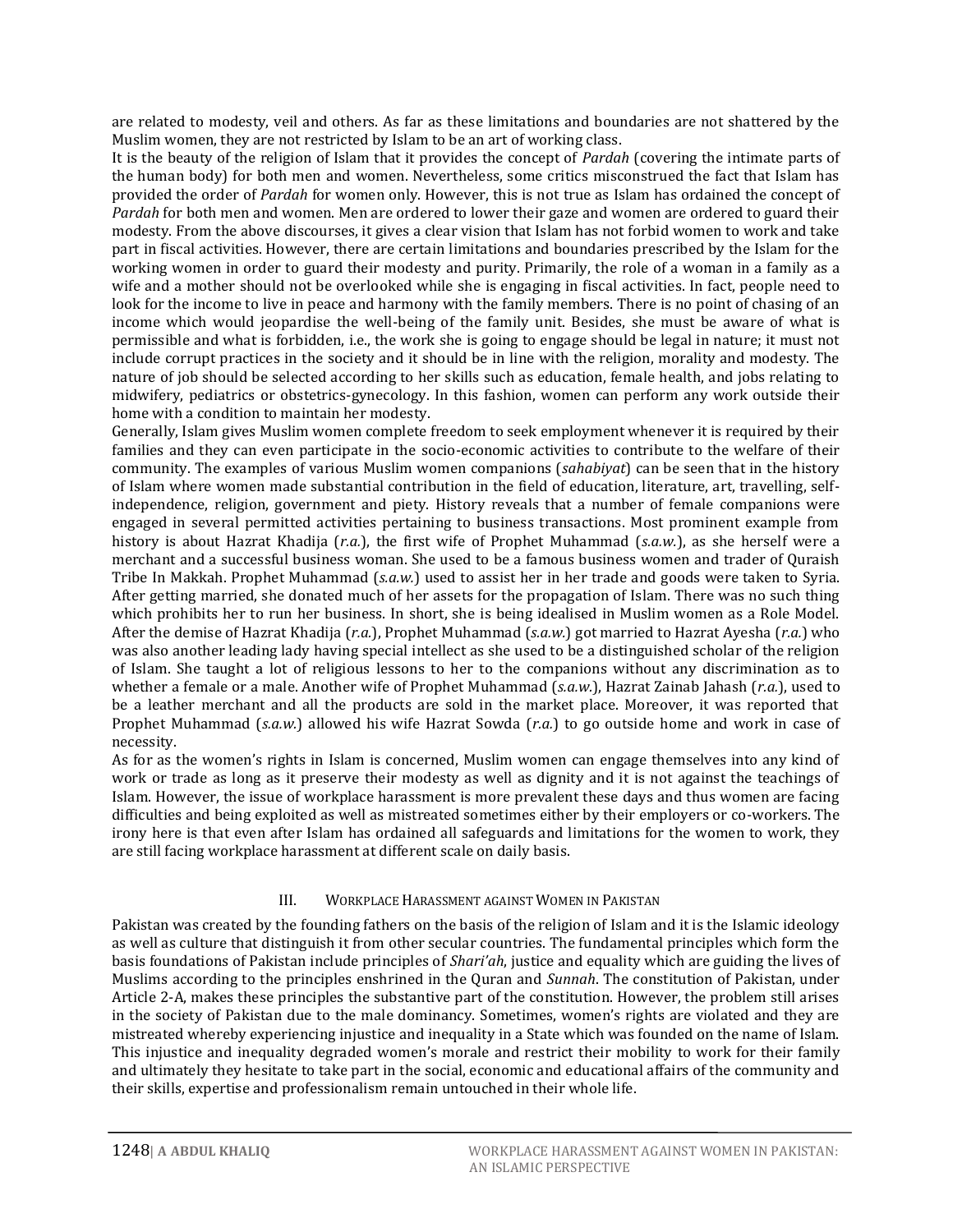are related to modesty, veil and others. As far as these limitations and boundaries are not shattered by the Muslim women, they are not restricted by Islam to be an art of working class.

It is the beauty of the religion of Islam that it provides the concept of *Pardah* (covering the intimate parts of the human body) for both men and women. Nevertheless, some critics misconstrued the fact that Islam has provided the order of *Pardah* for women only. However, this is not true as Islam has ordained the concept of *Pardah* for both men and women. Men are ordered to lower their gaze and women are ordered to guard their modesty. From the above discourses, it gives a clear vision that Islam has not forbid women to work and take part in fiscal activities. However, there are certain limitations and boundaries prescribed by the Islam for the working women in order to guard their modesty and purity. Primarily, the role of a woman in a family as a wife and a mother should not be overlooked while she is engaging in fiscal activities. In fact, people need to look for the income to live in peace and harmony with the family members. There is no point of chasing of an income which would jeopardise the well-being of the family unit. Besides, she must be aware of what is permissible and what is forbidden, i.e., the work she is going to engage should be legal in nature; it must not include corrupt practices in the society and it should be in line with the religion, morality and modesty. The nature of job should be selected according to her skills such as education, female health, and jobs relating to midwifery, pediatrics or obstetrics-gynecology. In this fashion, women can perform any work outside their home with a condition to maintain her modesty.

Generally, Islam gives Muslim women complete freedom to seek employment whenever it is required by their families and they can even participate in the socio-economic activities to contribute to the welfare of their community. The examples of various Muslim women companions (*sahabiyat*) can be seen that in the history of Islam where women made substantial contribution in the field of education, literature, art, travelling, selfindependence, religion, government and piety. History reveals that a number of female companions were engaged in several permitted activities pertaining to business transactions. Most prominent example from history is about Hazrat Khadija (*r.a.*), the first wife of Prophet Muhammad (*s.a.w.*), as she herself were a merchant and a successful business woman. She used to be a famous business women and trader of Quraish Tribe In Makkah. Prophet Muhammad (*s.a.w.*) used to assist her in her trade and goods were taken to Syria. After getting married, she donated much of her assets for the propagation of Islam. There was no such thing which prohibits her to run her business. In short, she is being idealised in Muslim women as a Role Model. After the demise of Hazrat Khadija (*r.a.*), Prophet Muhammad (*s.a.w.*) got married to Hazrat Ayesha (*r.a.*) who was also another leading lady having special intellect as she used to be a distinguished scholar of the religion of Islam. She taught a lot of religious lessons to her to the companions without any discrimination as to whether a female or a male. Another wife of Prophet Muhammad (*s.a.w.*), Hazrat Zainab Jahash (*r.a.*), used to be a leather merchant and all the products are sold in the market place. Moreover, it was reported that Prophet Muhammad (*s.a.w.*) allowed his wife Hazrat Sowda (*r.a.*) to go outside home and work in case of necessity.

As for as the women's rights in Islam is concerned, Muslim women can engage themselves into any kind of work or trade as long as it preserve their modesty as well as dignity and it is not against the teachings of Islam. However, the issue of workplace harassment is more prevalent these days and thus women are facing difficulties and being exploited as well as mistreated sometimes either by their employers or co-workers. The irony here is that even after Islam has ordained all safeguards and limitations for the women to work, they are still facing workplace harassment at different scale on daily basis.

#### III. WORKPLACE HARASSMENT AGAINST WOMEN IN PAKISTAN

Pakistan was created by the founding fathers on the basis of the religion of Islam and it is the Islamic ideology as well as culture that distinguish it from other secular countries. The fundamental principles which form the basis foundations of Pakistan include principles of *Shari'ah*, justice and equality which are guiding the lives of Muslims according to the principles enshrined in the Quran and *Sunnah*. The constitution of Pakistan, under Article 2-A, makes these principles the substantive part of the constitution. However, the problem still arises in the society of Pakistan due to the male dominancy. Sometimes, women's rights are violated and they are mistreated whereby experiencing injustice and inequality in a State which was founded on the name of Islam. This injustice and inequality degraded women's morale and restrict their mobility to work for their family and ultimately they hesitate to take part in the social, economic and educational affairs of the community and their skills, expertise and professionalism remain untouched in their whole life.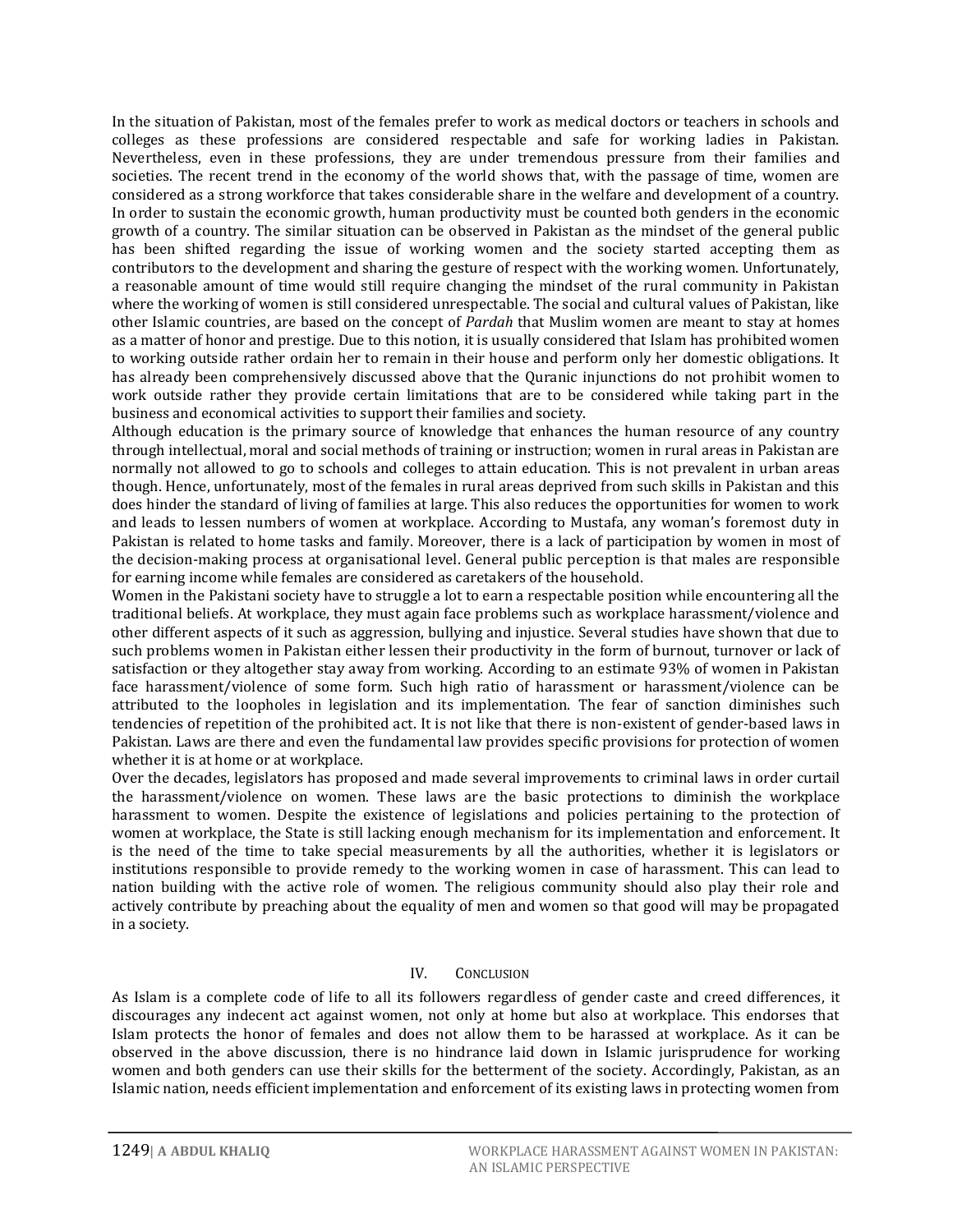In the situation of Pakistan, most of the females prefer to work as medical doctors or teachers in schools and colleges as these professions are considered respectable and safe for working ladies in Pakistan. Nevertheless, even in these professions, they are under tremendous pressure from their families and societies. The recent trend in the economy of the world shows that, with the passage of time, women are considered as a strong workforce that takes considerable share in the welfare and development of a country. In order to sustain the economic growth, human productivity must be counted both genders in the economic growth of a country. The similar situation can be observed in Pakistan as the mindset of the general public has been shifted regarding the issue of working women and the society started accepting them as contributors to the development and sharing the gesture of respect with the working women. Unfortunately, a reasonable amount of time would still require changing the mindset of the rural community in Pakistan where the working of women is still considered unrespectable. The social and cultural values of Pakistan, like other Islamic countries, are based on the concept of *Pardah* that Muslim women are meant to stay at homes as a matter of honor and prestige. Due to this notion, it is usually considered that Islam has prohibited women to working outside rather ordain her to remain in their house and perform only her domestic obligations. It has already been comprehensively discussed above that the Quranic injunctions do not prohibit women to work outside rather they provide certain limitations that are to be considered while taking part in the business and economical activities to support their families and society.

Although education is the primary source of knowledge that enhances the human resource of any country through intellectual, moral and social methods of training or instruction; women in rural areas in Pakistan are normally not allowed to go to schools and colleges to attain education. This is not prevalent in urban areas though. Hence, unfortunately, most of the females in rural areas deprived from such skills in Pakistan and this does hinder the standard of living of families at large. This also reduces the opportunities for women to work and leads to lessen numbers of women at workplace. According to Mustafa, any woman's foremost duty in Pakistan is related to home tasks and family. Moreover, there is a lack of participation by women in most of the decision-making process at organisational level. General public perception is that males are responsible for earning income while females are considered as caretakers of the household.

Women in the Pakistani society have to struggle a lot to earn a respectable position while encountering all the traditional beliefs. At workplace, they must again face problems such as workplace harassment/violence and other different aspects of it such as aggression, bullying and injustice. Several studies have shown that due to such problems women in Pakistan either lessen their productivity in the form of burnout, turnover or lack of satisfaction or they altogether stay away from working. According to an estimate 93% of women in Pakistan face harassment/violence of some form. Such high ratio of harassment or harassment/violence can be attributed to the loopholes in legislation and its implementation. The fear of sanction diminishes such tendencies of repetition of the prohibited act. It is not like that there is non-existent of gender-based laws in Pakistan. Laws are there and even the fundamental law provides specific provisions for protection of women whether it is at home or at workplace.

Over the decades, legislators has proposed and made several improvements to criminal laws in order curtail the harassment/violence on women. These laws are the basic protections to diminish the workplace harassment to women. Despite the existence of legislations and policies pertaining to the protection of women at workplace, the State is still lacking enough mechanism for its implementation and enforcement. It is the need of the time to take special measurements by all the authorities, whether it is legislators or institutions responsible to provide remedy to the working women in case of harassment. This can lead to nation building with the active role of women. The religious community should also play their role and actively contribute by preaching about the equality of men and women so that good will may be propagated in a society.

# IV. CONCLUSION

As Islam is a complete code of life to all its followers regardless of gender caste and creed differences, it discourages any indecent act against women, not only at home but also at workplace. This endorses that Islam protects the honor of females and does not allow them to be harassed at workplace. As it can be observed in the above discussion, there is no hindrance laid down in Islamic jurisprudence for working women and both genders can use their skills for the betterment of the society. Accordingly, Pakistan, as an Islamic nation, needs efficient implementation and enforcement of its existing laws in protecting women from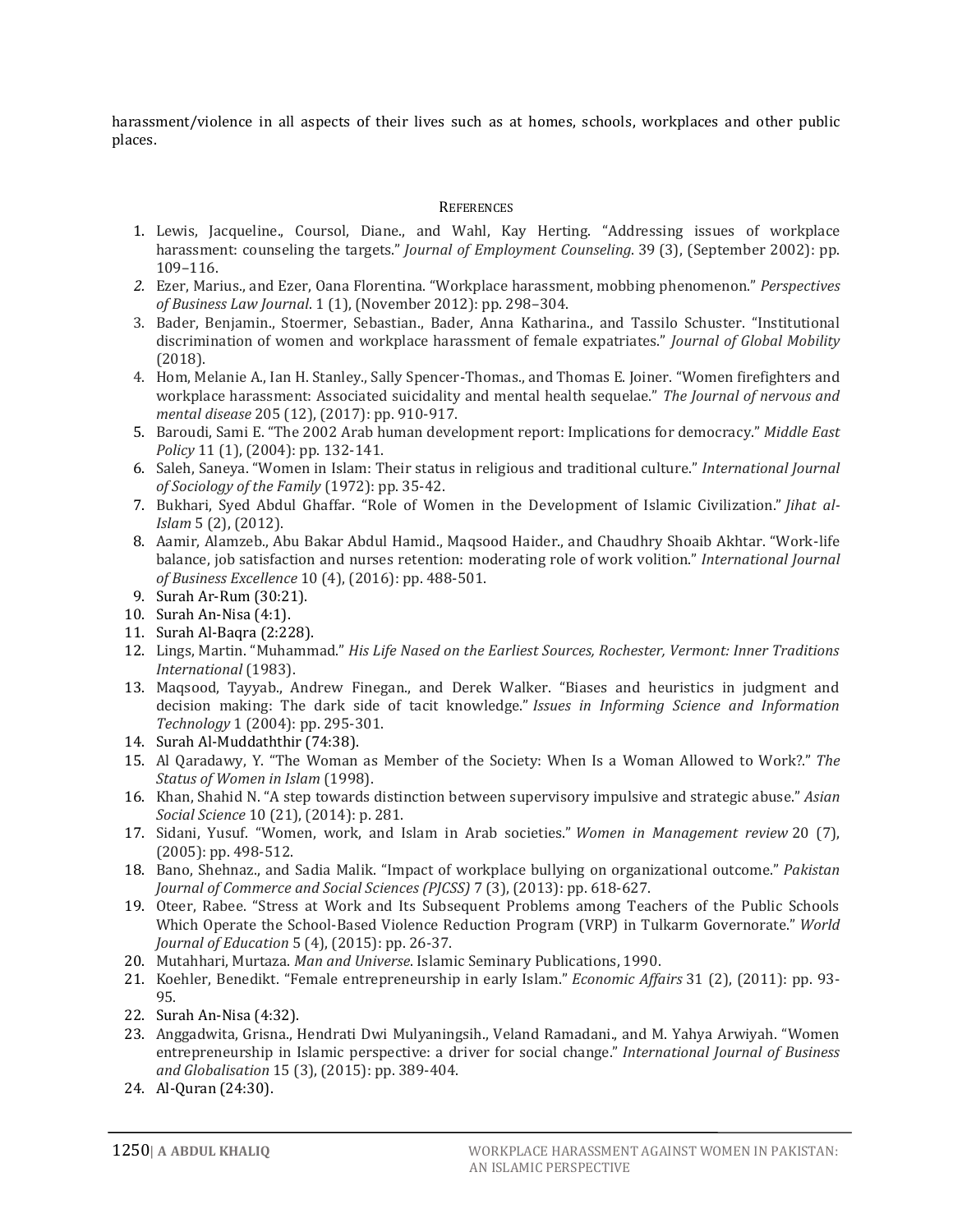harassment/violence in all aspects of their lives such as at homes, schools, workplaces and other public places.

## **REFERENCES**

- 1. Lewis, Jacqueline., Coursol, Diane., and Wahl, Kay Herting. "Addressing issues of workplace harassment: counseling the targets." *[Journal of Employment Counseling](https://en.wikipedia.org/wiki/Journal_of_Employment_Counseling)*. 39 (3), (September 2002): pp. 109–116.
- *2.* Ezer, Marius., and Ezer, Oana Florentina. ["Workplace harassment, mobbing phenomenon."](http://www.businesslawconference.ro/revista/anul1nr1.html) *Perspectives of Business Law Journal*. 1 (1), (November 2012): pp. 298–304.
- 3. Bader, Benjamin., Stoermer, Sebastian., Bader, Anna Katharina., and Tassilo Schuster. "Institutional discrimination of women and workplace harassment of female expatriates." *Journal of Global Mobility* (2018).
- 4. Hom, Melanie A., Ian H. Stanley., Sally Spencer-Thomas., and Thomas E. Joiner. "Women firefighters and workplace harassment: Associated suicidality and mental health sequelae." *The Journal of nervous and mental disease* 205 (12), (2017): pp. 910-917.
- 5. Baroudi, Sami E. "The 2002 Arab human development report: Implications for democracy." *Middle East Policy* 11 (1), (2004): pp. 132-141.
- 6. Saleh, Saneya. "Women in Islam: Their status in religious and traditional culture." *International Journal of Sociology of the Family* (1972): pp. 35-42.
- 7. Bukhari, Syed Abdul Ghaffar. "Role of Women in the Development of Islamic Civilization." *Jihat al-Islam* 5 (2), (2012).
- 8. Aamir, Alamzeb., Abu Bakar Abdul Hamid., Maqsood Haider., and Chaudhry Shoaib Akhtar. "Work-life balance, job satisfaction and nurses retention: moderating role of work volition." *International Journal of Business Excellence* 10 (4), (2016): pp. 488-501.
- 9. Surah Ar-Rum (30:21).
- 10. Surah An-Nisa (4:1).
- 11. Surah Al-Baqra (2:228).
- 12. Lings, Martin. "Muhammad." *His Life Nased on the Earliest Sources, Rochester, Vermont: Inner Traditions International* (1983).
- 13. Maqsood, Tayyab., Andrew Finegan., and Derek Walker. "Biases and heuristics in judgment and decision making: The dark side of tacit knowledge." *Issues in Informing Science and Information Technology* 1 (2004): pp. 295-301.
- 14. Surah Al-Muddaththir (74:38).
- 15. Al Qaradawy, Y. "The Woman as Member of the Society: When Is a Woman Allowed to Work?." *The Status of Women in Islam* (1998).
- 16. Khan, Shahid N. "A step towards distinction between supervisory impulsive and strategic abuse." *Asian Social Science* 10 (21), (2014): p. 281.
- 17. Sidani, Yusuf. "Women, work, and Islam in Arab societies." *Women in Management review* 20 (7), (2005): pp. 498-512.
- 18. Bano, Shehnaz., and Sadia Malik. "Impact of workplace bullying on organizational outcome." *Pakistan Journal of Commerce and Social Sciences (PJCSS)* 7 (3), (2013): pp. 618-627.
- 19. Oteer, Rabee. "Stress at Work and Its Subsequent Problems among Teachers of the Public Schools Which Operate the School-Based Violence Reduction Program (VRP) in Tulkarm Governorate." *World Journal of Education* 5 (4), (2015): pp. 26-37.
- 20. Mutahhari, Murtaza. *Man and Universe*. Islamic Seminary Publications, 1990.
- 21. Koehler, Benedikt. "Female entrepreneurship in early Islam." *Economic Affairs* 31 (2), (2011): pp. 93- 95.
- 22. Surah An-Nisa (4:32).
- 23. Anggadwita, Grisna., Hendrati Dwi Mulyaningsih., Veland Ramadani., and M. Yahya Arwiyah. "Women entrepreneurship in Islamic perspective: a driver for social change." *International Journal of Business and Globalisation* 15 (3), (2015): pp. 389-404.
- 24. Al-Quran (24:30).